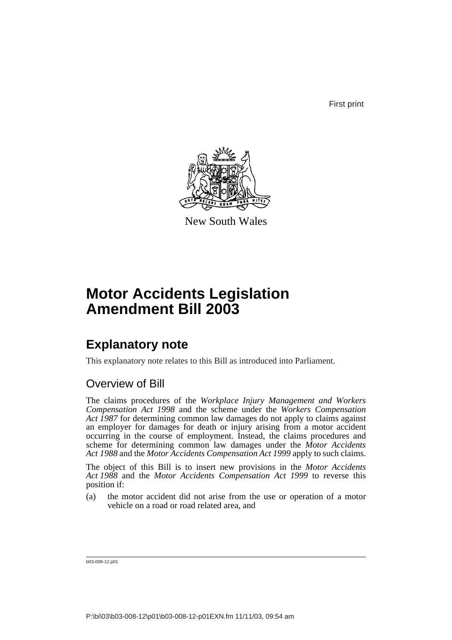First print



New South Wales

# **Motor Accidents Legislation Amendment Bill 2003**

## **Explanatory note**

This explanatory note relates to this Bill as introduced into Parliament.

### Overview of Bill

The claims procedures of the *Workplace Injury Management and Workers Compensation Act 1998* and the scheme under the *Workers Compensation Act 1987* for determining common law damages do not apply to claims against an employer for damages for death or injury arising from a motor accident occurring in the course of employment. Instead, the claims procedures and scheme for determining common law damages under the *Motor Accidents Act 1988* and the *Motor Accidents Compensation Act 1999* apply to such claims.

The object of this Bill is to insert new provisions in the *Motor Accidents Act 1988* and the *Motor Accidents Compensation Act 1999* to reverse this position if:

(a) the motor accident did not arise from the use or operation of a motor vehicle on a road or road related area, and

b03-008-12.p01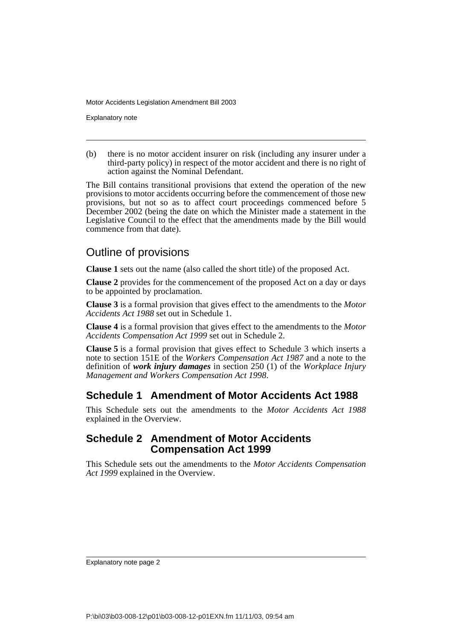Explanatory note

(b) there is no motor accident insurer on risk (including any insurer under a third-party policy) in respect of the motor accident and there is no right of action against the Nominal Defendant.

The Bill contains transitional provisions that extend the operation of the new provisions to motor accidents occurring before the commencement of those new provisions, but not so as to affect court proceedings commenced before 5 December 2002 (being the date on which the Minister made a statement in the Legislative Council to the effect that the amendments made by the Bill would commence from that date).

### Outline of provisions

**Clause 1** sets out the name (also called the short title) of the proposed Act.

**Clause 2** provides for the commencement of the proposed Act on a day or days to be appointed by proclamation.

**Clause 3** is a formal provision that gives effect to the amendments to the *Motor Accidents Act 1988* set out in Schedule 1.

**Clause 4** is a formal provision that gives effect to the amendments to the *Motor Accidents Compensation Act 1999* set out in Schedule 2.

**Clause 5** is a formal provision that gives effect to Schedule 3 which inserts a note to section 151E of the *Workers Compensation Act 1987* and a note to the definition of *work injury damages* in section 250 (1) of the *Workplace Injury Management and Workers Compensation Act 1998*.

### **Schedule 1 Amendment of Motor Accidents Act 1988**

This Schedule sets out the amendments to the *Motor Accidents Act 1988* explained in the Overview.

#### **Schedule 2 Amendment of Motor Accidents Compensation Act 1999**

This Schedule sets out the amendments to the *Motor Accidents Compensation Act 1999* explained in the Overview.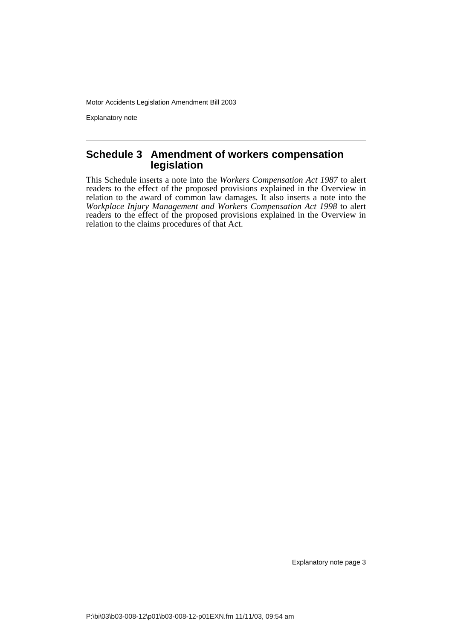Explanatory note

#### **Schedule 3 Amendment of workers compensation legislation**

This Schedule inserts a note into the *Workers Compensation Act 1987* to alert readers to the effect of the proposed provisions explained in the Overview in relation to the award of common law damages. It also inserts a note into the *Workplace Injury Management and Workers Compensation Act 1998* to alert readers to the effect of the proposed provisions explained in the Overview in relation to the claims procedures of that Act.

Explanatory note page 3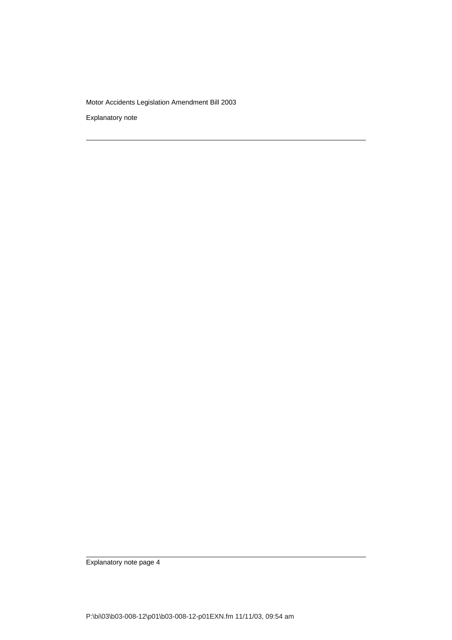Explanatory note

Explanatory note page 4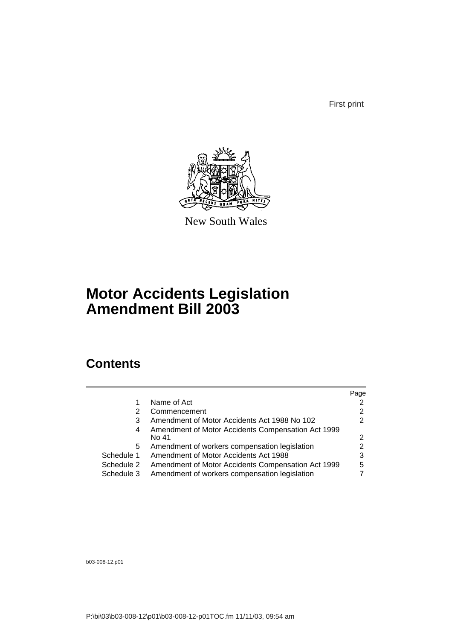First print



New South Wales

## **Motor Accidents Legislation Amendment Bill 2003**

### **Contents**

|            |                                                    | Page |
|------------|----------------------------------------------------|------|
|            | Name of Act                                        |      |
|            | Commencement                                       | 2    |
| 3          | Amendment of Motor Accidents Act 1988 No 102       |      |
| 4          | Amendment of Motor Accidents Compensation Act 1999 |      |
|            | No 41                                              | 2    |
| 5          | Amendment of workers compensation legislation      |      |
| Schedule 1 | Amendment of Motor Accidents Act 1988              | 3    |
| Schedule 2 | Amendment of Motor Accidents Compensation Act 1999 | 5    |
| Schedule 3 | Amendment of workers compensation legislation      |      |

b03-008-12.p01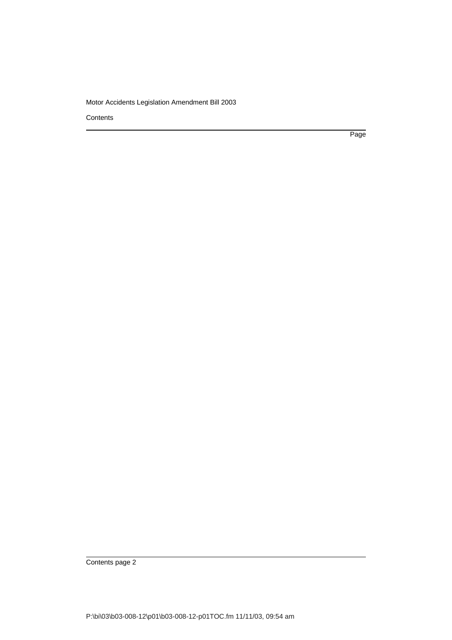**Contents** 

Page

Contents page 2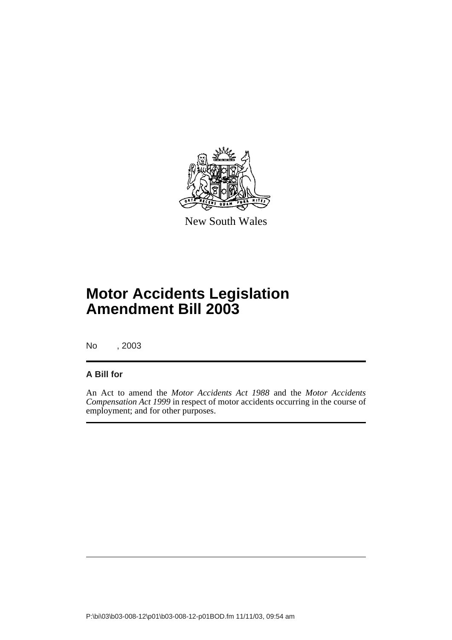

New South Wales

# **Motor Accidents Legislation Amendment Bill 2003**

No , 2003

#### **A Bill for**

An Act to amend the *Motor Accidents Act 1988* and the *Motor Accidents Compensation Act 1999* in respect of motor accidents occurring in the course of employment; and for other purposes.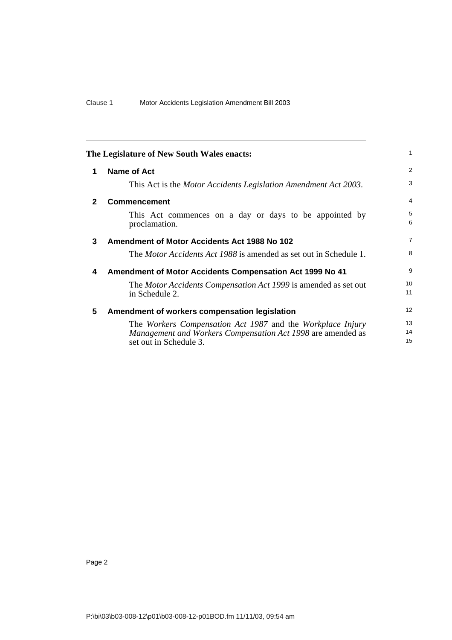<span id="page-7-4"></span><span id="page-7-3"></span><span id="page-7-2"></span><span id="page-7-1"></span><span id="page-7-0"></span>

|              | The Legislature of New South Wales enacts:                               | 1              |
|--------------|--------------------------------------------------------------------------|----------------|
| 1            | Name of Act                                                              | 2              |
|              | This Act is the <i>Motor Accidents Legislation Amendment Act 2003</i> .  | 3              |
| $\mathbf{2}$ | <b>Commencement</b>                                                      | $\overline{4}$ |
|              | This Act commences on a day or days to be appointed by<br>proclamation.  | 5<br>6         |
| 3            | Amendment of Motor Accidents Act 1988 No 102                             | $\overline{7}$ |
|              | The <i>Motor Accidents Act 1988</i> is amended as set out in Schedule 1. | 8              |
| 4            | <b>Amendment of Motor Accidents Compensation Act 1999 No 41</b>          | 9              |
|              | The <i>Motor Accidents Compensation Act 1999</i> is amended as set out   | 10             |
|              | in Schedule 2.                                                           | 11             |
| 5            | Amendment of workers compensation legislation                            | 12             |
|              | The Workers Compensation Act 1987 and the Workplace Injury               | 13             |
|              | Management and Workers Compensation Act 1998 are amended as              | 14             |
|              | set out in Schedule 3.                                                   | 15             |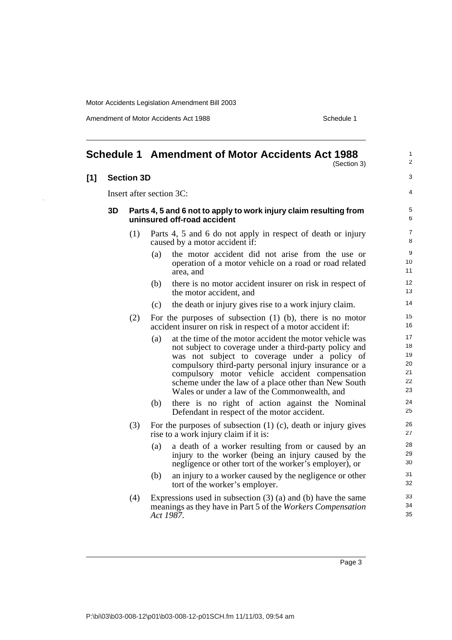Amendment of Motor Accidents Act 1988 Schedule 1

 $\ddot{\phantom{0}}$ 

<span id="page-8-0"></span>

|     |    |                   | Schedule 1 Amendment of Motor Accidents Act 1988<br>(Section 3)                                                                                                                                                                                                                                                                                                                               | $\mathbf{1}$<br>$\overline{2}$         |
|-----|----|-------------------|-----------------------------------------------------------------------------------------------------------------------------------------------------------------------------------------------------------------------------------------------------------------------------------------------------------------------------------------------------------------------------------------------|----------------------------------------|
| [1] |    | <b>Section 3D</b> |                                                                                                                                                                                                                                                                                                                                                                                               | 3                                      |
|     |    |                   | Insert after section 3C:                                                                                                                                                                                                                                                                                                                                                                      | 4                                      |
|     | 3D |                   | Parts 4, 5 and 6 not to apply to work injury claim resulting from<br>uninsured off-road accident                                                                                                                                                                                                                                                                                              | 5<br>6                                 |
|     |    | (1)               | Parts 4, 5 and 6 do not apply in respect of death or injury<br>caused by a motor accident if:                                                                                                                                                                                                                                                                                                 | $\overline{7}$<br>8                    |
|     |    |                   | (a)<br>the motor accident did not arise from the use or<br>operation of a motor vehicle on a road or road related<br>area, and                                                                                                                                                                                                                                                                | 9<br>10 <sup>1</sup><br>11             |
|     |    |                   | there is no motor accident insurer on risk in respect of<br>(b)<br>the motor accident, and                                                                                                                                                                                                                                                                                                    | 12 <sup>2</sup><br>13                  |
|     |    |                   | the death or injury gives rise to a work injury claim.<br>(c)                                                                                                                                                                                                                                                                                                                                 | 14                                     |
|     |    | (2)               | For the purposes of subsection $(1)$ $(b)$ , there is no motor<br>accident insurer on risk in respect of a motor accident if:                                                                                                                                                                                                                                                                 | 15<br>16                               |
|     |    |                   | at the time of the motor accident the motor vehicle was<br>(a)<br>not subject to coverage under a third-party policy and<br>was not subject to coverage under a policy of<br>compulsory third-party personal injury insurance or a<br>compulsory motor vehicle accident compensation<br>scheme under the law of a place other than New South<br>Wales or under a law of the Commonwealth, and | 17<br>18<br>19<br>20<br>21<br>22<br>23 |
|     |    |                   | there is no right of action against the Nominal<br>(b)<br>Defendant in respect of the motor accident.                                                                                                                                                                                                                                                                                         | 24<br>25                               |
|     |    | (3)               | For the purposes of subsection $(1)$ $(c)$ , death or injury gives<br>rise to a work injury claim if it is:                                                                                                                                                                                                                                                                                   | 26<br>27                               |
|     |    |                   | a death of a worker resulting from or caused by an<br>(a)<br>injury to the worker (being an injury caused by the<br>negligence or other tort of the worker's employer), or                                                                                                                                                                                                                    | 28<br>29<br>30                         |
|     |    |                   | an injury to a worker caused by the negligence or other<br>(b)<br>tort of the worker's employer.                                                                                                                                                                                                                                                                                              | 31<br>32                               |
|     |    | (4)               | Expressions used in subsection $(3)$ (a) and (b) have the same<br>meanings as they have in Part 5 of the Workers Compensation<br>Act 1987.                                                                                                                                                                                                                                                    | 33<br>34<br>35                         |

Page 3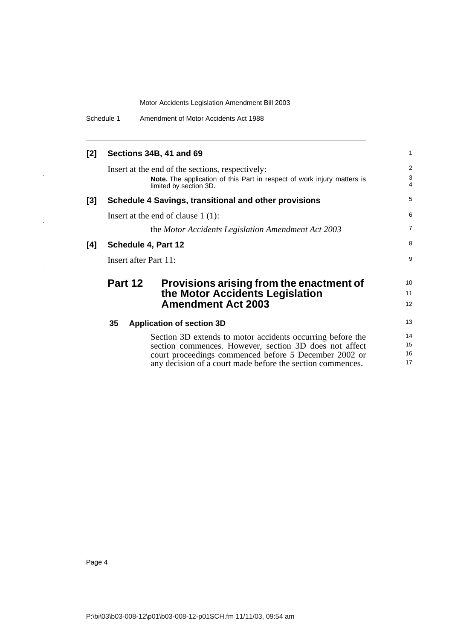| [2]   | Sections 34B, 41 and 69                                                                                                                                                                                                                     | 1                                              |
|-------|---------------------------------------------------------------------------------------------------------------------------------------------------------------------------------------------------------------------------------------------|------------------------------------------------|
|       | Insert at the end of the sections, respectively:<br>Note. The application of this Part in respect of work injury matters is<br>limited by section 3D.                                                                                       | $\overline{\mathbf{c}}$<br>3<br>$\overline{4}$ |
| $[3]$ | Schedule 4 Savings, transitional and other provisions                                                                                                                                                                                       | 5                                              |
|       | Insert at the end of clause $1(1)$ :                                                                                                                                                                                                        | 6                                              |
|       | the Motor Accidents Legislation Amendment Act 2003                                                                                                                                                                                          | 7                                              |
| [4]   | Schedule 4, Part 12                                                                                                                                                                                                                         | 8                                              |
|       | Insert after Part 11:                                                                                                                                                                                                                       |                                                |
|       | Part 12<br>Provisions arising from the enactment of                                                                                                                                                                                         | 10                                             |
|       | the Motor Accidents Legislation                                                                                                                                                                                                             | 11                                             |
|       | <b>Amendment Act 2003</b>                                                                                                                                                                                                                   | 12                                             |
|       | 35<br><b>Application of section 3D</b>                                                                                                                                                                                                      | 13                                             |
|       | Section 3D extends to motor accidents occurring before the<br>section commences. However, section 3D does not affect<br>court proceedings commenced before 5 December 2002 or<br>any decision of a court made before the section commences. | 14<br>15<br>16<br>17                           |

Page 4

 $\bar{z}$ 

 $\bar{z}$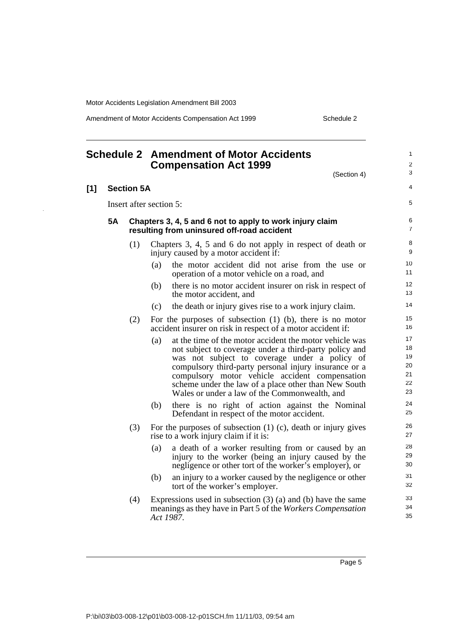Amendment of Motor Accidents Compensation Act 1999 Schedule 2

<span id="page-10-0"></span>

|     |           |                   | <b>Schedule 2 Amendment of Motor Accidents</b><br><b>Compensation Act 1999</b><br>(Section 4)                                                                                                                                                                                                                                                                                                 | 1<br>$\overline{c}$<br>3               |
|-----|-----------|-------------------|-----------------------------------------------------------------------------------------------------------------------------------------------------------------------------------------------------------------------------------------------------------------------------------------------------------------------------------------------------------------------------------------------|----------------------------------------|
| [1] |           | <b>Section 5A</b> |                                                                                                                                                                                                                                                                                                                                                                                               | 4                                      |
|     |           |                   | Insert after section 5:                                                                                                                                                                                                                                                                                                                                                                       | 5                                      |
|     | <b>5A</b> |                   | Chapters 3, 4, 5 and 6 not to apply to work injury claim<br>resulting from uninsured off-road accident                                                                                                                                                                                                                                                                                        | 6<br>$\overline{7}$                    |
|     |           | (1)               | Chapters 3, 4, 5 and 6 do not apply in respect of death or<br>injury caused by a motor accident if:                                                                                                                                                                                                                                                                                           | 8<br>9                                 |
|     |           |                   | the motor accident did not arise from the use or<br>(a)<br>operation of a motor vehicle on a road, and                                                                                                                                                                                                                                                                                        | 10<br>11                               |
|     |           |                   | (b)<br>there is no motor accident insurer on risk in respect of<br>the motor accident, and                                                                                                                                                                                                                                                                                                    | 12<br>13                               |
|     |           |                   | the death or injury gives rise to a work injury claim.<br>(c)                                                                                                                                                                                                                                                                                                                                 | 14                                     |
|     |           | (2)               | For the purposes of subsection $(1)$ $(b)$ , there is no motor<br>accident insurer on risk in respect of a motor accident if:                                                                                                                                                                                                                                                                 | 15<br>16                               |
|     |           |                   | (a)<br>at the time of the motor accident the motor vehicle was<br>not subject to coverage under a third-party policy and<br>was not subject to coverage under a policy of<br>compulsory third-party personal injury insurance or a<br>compulsory motor vehicle accident compensation<br>scheme under the law of a place other than New South<br>Wales or under a law of the Commonwealth, and | 17<br>18<br>19<br>20<br>21<br>22<br>23 |
|     |           |                   | there is no right of action against the Nominal<br>(b)<br>Defendant in respect of the motor accident.                                                                                                                                                                                                                                                                                         | 24<br>25                               |
|     |           | (3)               | For the purposes of subsection $(1)$ $(c)$ , death or injury gives<br>rise to a work injury claim if it is:                                                                                                                                                                                                                                                                                   | 26<br>27                               |
|     |           |                   | (a)<br>a death of a worker resulting from or caused by an<br>injury to the worker (being an injury caused by the<br>negligence or other tort of the worker's employer), or                                                                                                                                                                                                                    | 28<br>29<br>30                         |
|     |           |                   | an injury to a worker caused by the negligence or other<br>(b)<br>tort of the worker's employer.                                                                                                                                                                                                                                                                                              | 31<br>32                               |
|     |           | (4)               | Expressions used in subsection $(3)$ (a) and (b) have the same<br>meanings as they have in Part 5 of the Workers Compensation<br>Act 1987.                                                                                                                                                                                                                                                    | 33<br>34<br>35                         |

Page 5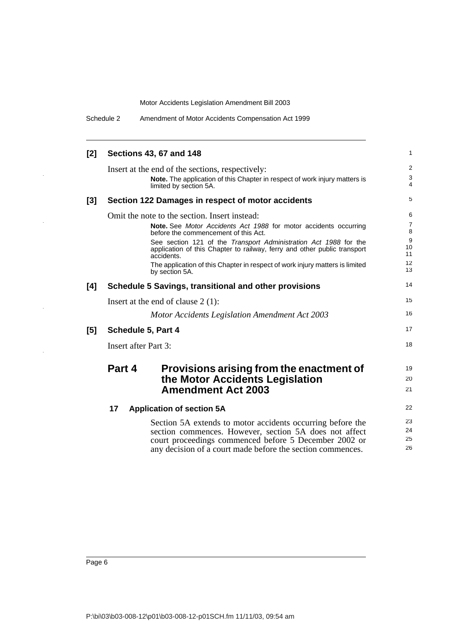Schedule 2 Amendment of Motor Accidents Compensation Act 1999

| [2] |                             | <b>Sections 43, 67 and 148</b>                                                                                                                             | 1                   |
|-----|-----------------------------|------------------------------------------------------------------------------------------------------------------------------------------------------------|---------------------|
|     |                             | Insert at the end of the sections, respectively:                                                                                                           | 2                   |
|     |                             | Note. The application of this Chapter in respect of work injury matters is<br>limited by section 5A.                                                       | 3<br>4              |
| [3] |                             | Section 122 Damages in respect of motor accidents                                                                                                          | 5                   |
|     |                             | Omit the note to the section. Insert instead:                                                                                                              | 6                   |
|     |                             | Note. See Motor Accidents Act 1988 for motor accidents occurring<br>before the commencement of this Act.                                                   | $\overline{7}$<br>8 |
|     |                             | See section 121 of the Transport Administration Act 1988 for the<br>application of this Chapter to railway, ferry and other public transport<br>accidents. | 9<br>10<br>11       |
|     |                             | The application of this Chapter in respect of work injury matters is limited<br>by section 5A.                                                             | 12<br>13            |
| [4] |                             | Schedule 5 Savings, transitional and other provisions                                                                                                      | 14                  |
|     |                             | Insert at the end of clause $2(1)$ :                                                                                                                       | 15                  |
|     |                             | Motor Accidents Legislation Amendment Act 2003                                                                                                             | 16                  |
| [5] |                             | Schedule 5, Part 4                                                                                                                                         | 17                  |
|     | <b>Insert after Part 3:</b> |                                                                                                                                                            | 18                  |
|     | Part 4                      | Provisions arising from the enactment of                                                                                                                   | 19                  |
|     |                             | the Motor Accidents Legislation                                                                                                                            | 20                  |
|     |                             | <b>Amendment Act 2003</b>                                                                                                                                  | 21                  |
|     | 17                          | <b>Application of section 5A</b>                                                                                                                           | 22                  |
|     |                             | Section 5A extends to motor accidents occurring before the                                                                                                 | 23                  |
|     |                             | section commences. However, section 5A does not affect                                                                                                     | 24                  |
|     |                             | court proceedings commenced before 5 December 2002 or<br>any decision of a court made before the section commences.                                        | 25<br>26            |
|     |                             |                                                                                                                                                            |                     |

Page 6

 $\ddot{\phantom{a}}$ 

J.